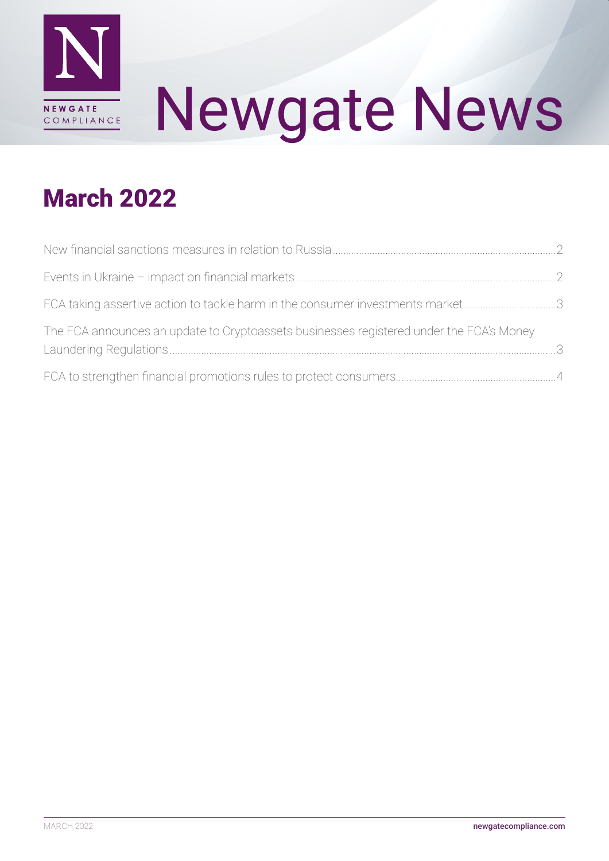

# Newgate News

#### March 2022

| FCA taking assertive action to tackle harm in the consumer investments market3          |  |
|-----------------------------------------------------------------------------------------|--|
| The FCA announces an update to Cryptoassets businesses registered under the FCA's Money |  |
|                                                                                         |  |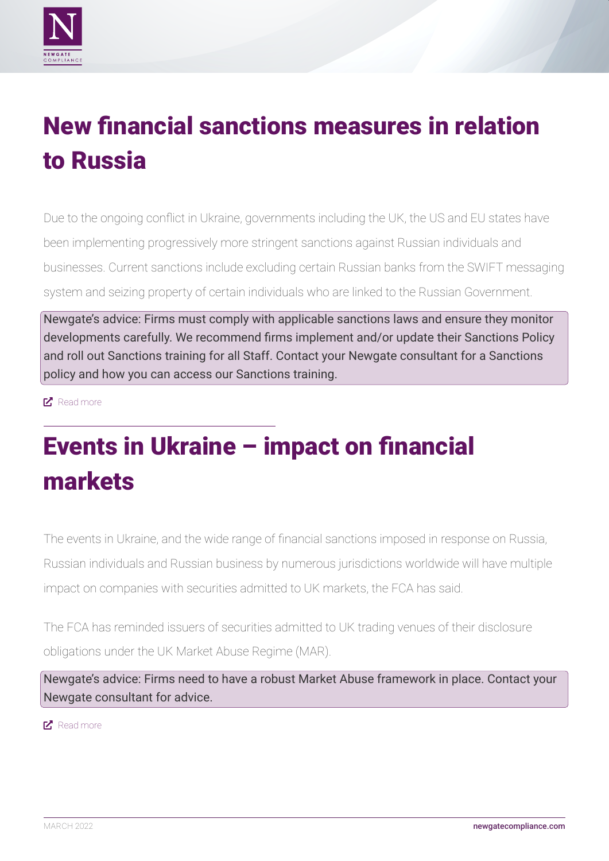<span id="page-1-0"></span>

### New financial sanctions measures in relation to Russia

Due to the ongoing conflict in Ukraine, governments including the UK, the US and EU states have been implementing progressively more stringent sanctions against Russian individuals and businesses. Current sanctions include excluding certain Russian banks from the SWIFT messaging system and seizing property of certain individuals who are linked to the Russian Government.

Newgate's advice: Firms must comply with applicable sanctions laws and ensure they monitor developments carefully. We recommend firms implement and/or update their Sanctions Policy and roll out Sanctions training for all Staff. Contact your Newgate consultant for a Sanctions policy and how you can access our Sanctions training.

**E** [Read more](https://www.fca.org.uk/news/statements/new-financial-sanctions-measures-relation-russia)

### Events in Ukraine – impact on financial markets

The events in Ukraine, and the wide range of financial sanctions imposed in response on Russia, Russian individuals and Russian business by numerous jurisdictions worldwide will have multiple impact on companies with securities admitted to UK markets, the FCA has said.

The FCA has reminded issuers of securities admitted to UK trading venues of their disclosure obligations under the UK Market Abuse Regime (MAR).

Newgate's advice: Firms need to have a robust Market Abuse framework in place. Contact your Newgate consultant for advice.

#### **E** [Read more](https://www.fca.org.uk/news/statements/events-ukraine-impact-financial-markets)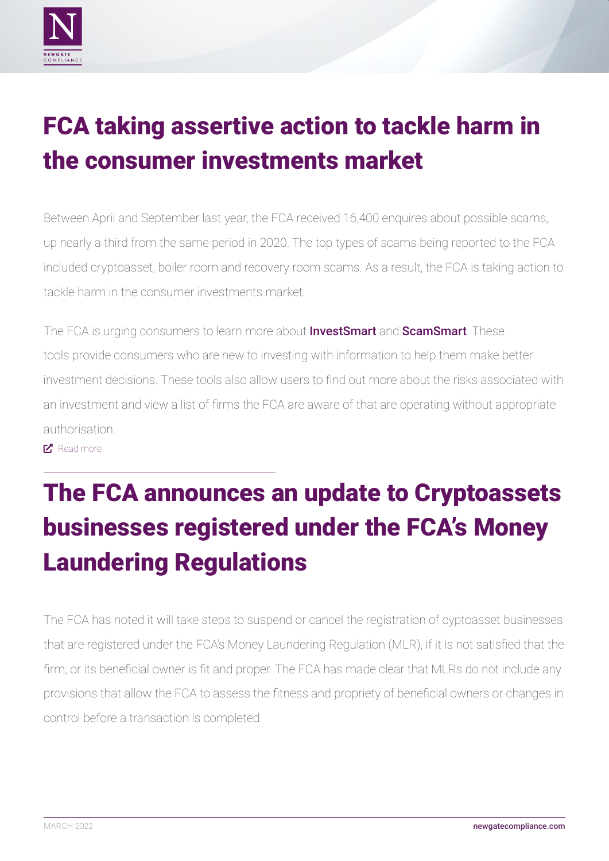<span id="page-2-0"></span>

### FCA taking assertive action to tackle harm in the consumer investments market

Between April and September last year, the FCA received 16,400 enquires about possible scams, up nearly a third from the same period in 2020. The top types of scams being reported to the FCA included cryptoasset, boiler room and recovery room scams. As a result, the FCA is taking action to tackle harm in the consumer investments market.

The FCA is urging consumers to learn more about **[InvestSmart](https://www.fca.org.uk/investsmart)** and **[ScamSmart](https://www.fca.org.uk/scamsmart)**. These tools provide consumers who are new to investing with information to help them make better investment decisions. These tools also allow users to find out more about the risks associated with an investment and view a list of firms the FCA are aware of that are operating without appropriate authorisation.

**E**. [Read more](https://www.fca.org.uk/news/press-releases/fca-taking-assertive-action-tackle-harm-consumer-investments-market)

## The FCA announces an update to Cryptoassets businesses registered under the FCA's Money Laundering Regulations

The FCA has noted it will take steps to suspend or cancel the registration of cyptoasset businesses that are registered under the FCA's Money Laundering Regulation (MLR), if it is not satisfied that the firm, or its beneficial owner is fit and proper. The FCA has made clear that MLRs do not include any provisions that allow the FCA to assess the fitness and propriety of beneficial owners or changes in control before a transaction is completed.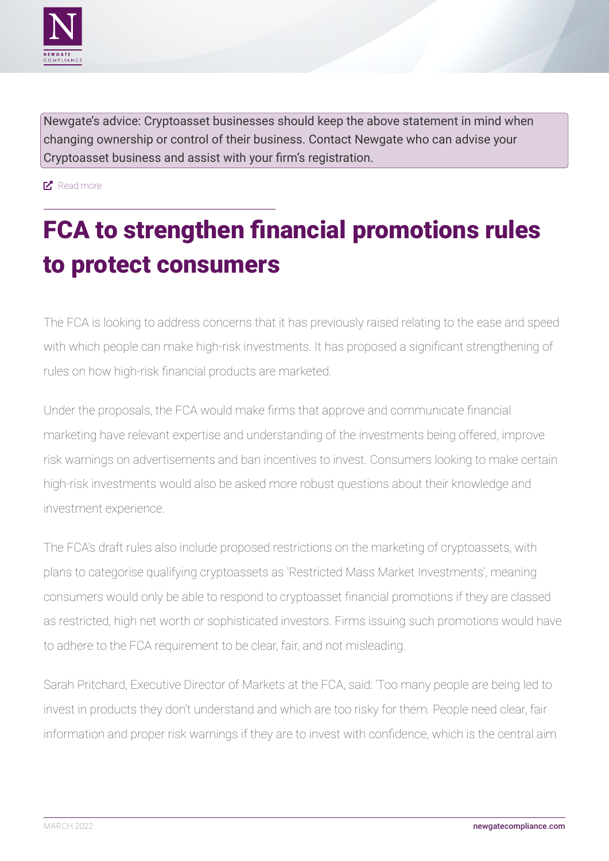<span id="page-3-0"></span>

Newgate's advice: Cryptoasset businesses should keep the above statement in mind when changing ownership or control of their business. Contact Newgate who can advise your Cryptoasset business and assist with your firm's registration.

#### **E** [Read more](https://www.fca.org.uk/news/statements/bitpanda-trustology-acquisition)

### FCA to strengthen financial promotions rules to protect consumers

The FCA is looking to address concerns that it has previously raised relating to the ease and speed with which people can make high-risk investments. It has proposed a significant strengthening of rules on how high-risk financial products are marketed. 

Under the proposals, the FCA would make firms that approve and communicate financial marketing have relevant expertise and understanding of the investments being offered, improve risk warnings on advertisements and ban incentives to invest. Consumers looking to make certain high-risk investments would also be asked more robust questions about their knowledge and investment experience.

The FCA's draft rules also include proposed restrictions on the marketing of cryptoassets, with plans to categorise qualifying cryptoassets as 'Restricted Mass Market Investments', meaning consumers would only be able to respond to cryptoasset financial promotions if they are classed as restricted, high net worth or sophisticated investors. Firms issuing such promotions would have to adhere to the FCA requirement to be clear, fair, and not misleading.

Sarah Pritchard, Executive Director of Markets at the FCA, said: 'Too many people are being led to invest in products they don't understand and which are too risky for them. People need clear, fair information and proper risk warnings if they are to invest with confidence, which is the central aim